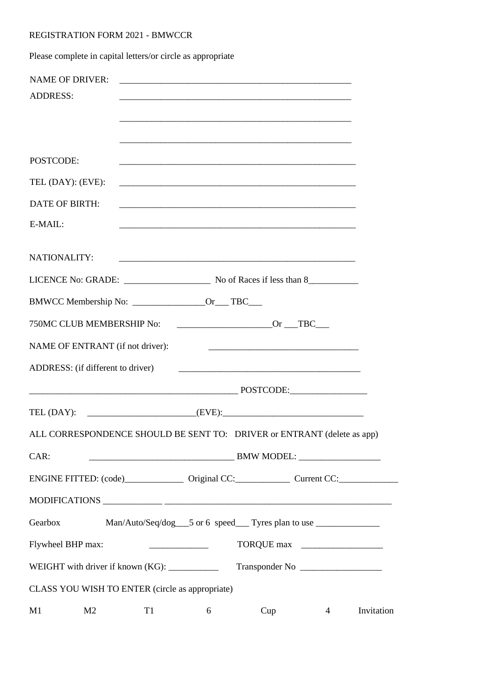## REGISTRATION FORM 2021 - BMWCCR

Please complete in capital letters/or circle as appropriate

| <b>NAME OF DRIVER:</b>                          |                |                                                                             |   | <u> 1989 - Johann Harry Barn, mars ar y brening ar y brening ar y brening ar y brening ar y brening ar y brening</u> |                                                                                                                       |            |  |  |  |
|-------------------------------------------------|----------------|-----------------------------------------------------------------------------|---|----------------------------------------------------------------------------------------------------------------------|-----------------------------------------------------------------------------------------------------------------------|------------|--|--|--|
| <b>ADDRESS:</b>                                 |                |                                                                             |   |                                                                                                                      |                                                                                                                       |            |  |  |  |
|                                                 |                |                                                                             |   |                                                                                                                      |                                                                                                                       |            |  |  |  |
|                                                 |                |                                                                             |   |                                                                                                                      |                                                                                                                       |            |  |  |  |
|                                                 |                |                                                                             |   |                                                                                                                      |                                                                                                                       |            |  |  |  |
| POSTCODE:                                       |                |                                                                             |   |                                                                                                                      |                                                                                                                       |            |  |  |  |
| TEL (DAY): (EVE):                               |                |                                                                             |   |                                                                                                                      | <u> 1989 - Johann Barn, mars an t-Amerikaansk komponister (* 1908)</u>                                                |            |  |  |  |
| <b>DATE OF BIRTH:</b>                           |                |                                                                             |   |                                                                                                                      |                                                                                                                       |            |  |  |  |
| E-MAIL:                                         |                |                                                                             |   |                                                                                                                      |                                                                                                                       |            |  |  |  |
|                                                 |                |                                                                             |   |                                                                                                                      |                                                                                                                       |            |  |  |  |
| NATIONALITY:                                    |                |                                                                             |   |                                                                                                                      |                                                                                                                       |            |  |  |  |
|                                                 |                |                                                                             |   |                                                                                                                      |                                                                                                                       |            |  |  |  |
|                                                 |                |                                                                             |   |                                                                                                                      |                                                                                                                       |            |  |  |  |
|                                                 |                |                                                                             |   |                                                                                                                      |                                                                                                                       |            |  |  |  |
| NAME OF ENTRANT (if not driver):                |                |                                                                             |   |                                                                                                                      | <u> 1989 - Johann Harry Harry Harry Harry Harry Harry Harry Harry Harry Harry Harry Harry Harry Harry Harry Harry</u> |            |  |  |  |
| ADDRESS: (if different to driver)               |                |                                                                             |   |                                                                                                                      |                                                                                                                       |            |  |  |  |
|                                                 |                |                                                                             |   |                                                                                                                      |                                                                                                                       |            |  |  |  |
|                                                 |                |                                                                             |   |                                                                                                                      |                                                                                                                       |            |  |  |  |
|                                                 |                |                                                                             |   |                                                                                                                      | ALL CORRESPONDENCE SHOULD BE SENT TO: DRIVER or ENTRANT (delete as app)                                               |            |  |  |  |
| CAR:                                            |                | BMW MODEL: RESERVE TO A SUBSEX PROPERTY AND THE SERVE TO A SUBSEX PROPERTY. |   |                                                                                                                      |                                                                                                                       |            |  |  |  |
|                                                 |                |                                                                             |   |                                                                                                                      |                                                                                                                       |            |  |  |  |
|                                                 |                |                                                                             |   |                                                                                                                      |                                                                                                                       |            |  |  |  |
| Gearbox                                         |                |                                                                             |   |                                                                                                                      | Man/Auto/Seq/dog___5 or 6 speed___Tyres plan to use ____________________________                                      |            |  |  |  |
| Flywheel BHP max:                               |                | <u> 1989 - Johann Barbara, martin eta </u>                                  |   |                                                                                                                      | TORQUE max                                                                                                            |            |  |  |  |
| WEIGHT with driver if known (KG): ___________   |                |                                                                             |   |                                                                                                                      |                                                                                                                       |            |  |  |  |
| CLASS YOU WISH TO ENTER (circle as appropriate) |                |                                                                             |   |                                                                                                                      |                                                                                                                       |            |  |  |  |
| M1                                              | M <sub>2</sub> | T <sub>1</sub>                                                              | 6 | Cup                                                                                                                  | $\overline{4}$                                                                                                        | Invitation |  |  |  |